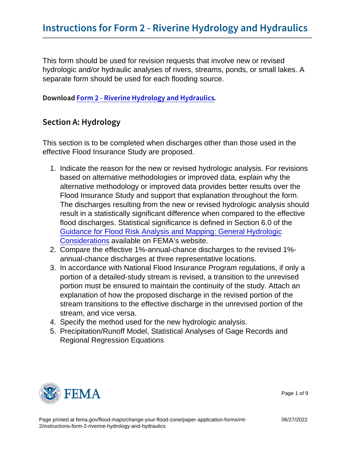This form should be used for revision requests that involve new or revised hydrologic and/or hydraulic analyses of rivers, streams, ponds, or small lakes. A separate form should be used for each flooding source.

DownloFacorm 2 - Riverine Hydrology and Hydraulics

### Section A: Hydrology

This section is to be completed when discharges other than those used in the effective Flood Insurance Study are proposed.

- 1. Indicate the reason for the new or revised hydrologic analysis. For revisions based on alternative methodologies or improved data, explain why the alternative methodology or improved data provides better results over the Flood Insurance Study and support that explanation throughout the form. The discharges resulting from the new or revised hydrologic analysis should result in a statistically significant difference when compared to the effective flood discharges. Statistical significance is defined in Section 6.0 of the [Guidance for Flood Risk Analysis and Mapping: General Hydrologic](https://www.fema.gov/sites/default/files/2020-02/General_Hydrologic_Considerations_Guidance_Feb_2019.pdf) [Considerations](https://www.fema.gov/sites/default/files/2020-02/General_Hydrologic_Considerations_Guidance_Feb_2019.pdf) available on FEMA's website.
- 2. Compare the effective 1%-annual-chance discharges to the revised 1% annual-chance discharges at three representative locations.
- 3. In accordance with National Flood Insurance Program regulations, if only a portion of a detailed-study stream is revised, a transition to the unrevised portion must be ensured to maintain the continuity of the study. Attach an explanation of how the proposed discharge in the revised portion of the stream transitions to the effective discharge in the unrevised portion of the stream, and vice versa.
- 4. Specify the method used for the new hydrologic analysis.
- 5. Precipitation/Runoff Model, Statistical Analyses of Gage Records and Regional Regression Equations



Page 1 of 9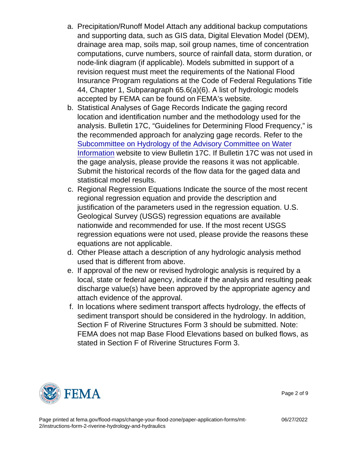- a. Precipitation/Runoff Model Attach any additional backup computations and supporting data, such as GIS data, Digital Elevation Model (DEM), drainage area map, soils map, soil group names, time of concentration computations, curve numbers, source of rainfall data, storm duration, or node-link diagram (if applicable). Models submitted in support of a revision request must meet the requirements of the National Flood Insurance Program regulations at the Code of Federal Regulations Title 44, Chapter 1, Subparagraph 65.6(a)(6). A list of hydrologic models accepted by FEMA can be found on FEMA's website.
- b. Statistical Analyses of Gage Records Indicate the gaging record location and identification number and the methodology used for the analysis. Bulletin 17C, "Guidelines for Determining Flood Frequency," is the recommended approach for analyzing gage records. Refer to the [Subcommittee on Hydrology of the Advisory Committee on Water](https://acwi.gov/hydrology/Frequency/b17c/) [Information](https://acwi.gov/hydrology/Frequency/b17c/) website to view Bulletin 17C. If Bulletin 17C was not used in the gage analysis, please provide the reasons it was not applicable. Submit the historical records of the flow data for the gaged data and statistical model results.
- c. Regional Regression Equations Indicate the source of the most recent regional regression equation and provide the description and justification of the parameters used in the regression equation. U.S. Geological Survey (USGS) regression equations are available nationwide and recommended for use. If the most recent USGS regression equations were not used, please provide the reasons these equations are not applicable.
- d. Other Please attach a description of any hydrologic analysis method used that is different from above.
- e. If approval of the new or revised hydrologic analysis is required by a local, state or federal agency, indicate if the analysis and resulting peak discharge value(s) have been approved by the appropriate agency and attach evidence of the approval.
- f. In locations where sediment transport affects hydrology, the effects of sediment transport should be considered in the hydrology. In addition, Section F of Riverine Structures Form 3 should be submitted. Note: FEMA does not map Base Flood Elevations based on bulked flows, as stated in Section F of Riverine Structures Form 3.



Page 2 of 9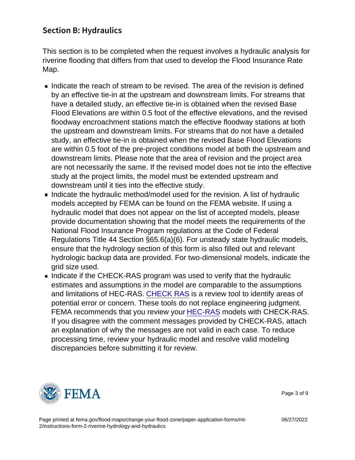# Section B: Hydraulics

This section is to be completed when the request involves a hydraulic analysis for riverine flooding that differs from that used to develop the Flood Insurance Rate Map.

- Indicate the reach of stream to be revised. The area of the revision is defined by an effective tie-in at the upstream and downstream limits. For streams that have a detailed study, an effective tie-in is obtained when the revised Base Flood Elevations are within 0.5 foot of the effective elevations, and the revised floodway encroachment stations match the effective floodway stations at both the upstream and downstream limits. For streams that do not have a detailed study, an effective tie-in is obtained when the revised Base Flood Elevations are within 0.5 foot of the pre-project conditions model at both the upstream and downstream limits. Please note that the area of revision and the project area are not necessarily the same. If the revised model does not tie into the effective study at the project limits, the model must be extended upstream and downstream until it ties into the effective study.
- Indicate the hydraulic method/model used for the revision. A list of hydraulic models accepted by FEMA can be found on the FEMA website. If using a hydraulic model that does not appear on the list of accepted models, please provide documentation showing that the model meets the requirements of the National Flood Insurance Program regulations at the Code of Federal Regulations Title 44 Section §65.6(a)(6). For unsteady state hydraulic models, ensure that the hydrology section of this form is also filled out and relevant hydrologic backup data are provided. For two-dimensional models, indicate the grid size used.
- Indicate if the CHECK-RAS program was used to verify that the hydraulic estimates and assumptions in the model are comparable to the assumptions and limitations of HEC-RAS. [CHECK RAS](https://www.fema.gov/flood-maps/software) is a review tool to identify areas of potential error or concern. These tools do not replace engineering judgment. FEMA recommends that you review your [HEC-RAS](https://www.fema.gov/flood-maps/software) models with CHECK-RAS. If you disagree with the comment messages provided by CHECK-RAS, attach an explanation of why the messages are not valid in each case. To reduce processing time, review your hydraulic model and resolve valid modeling discrepancies before submitting it for review.



Page 3 of 9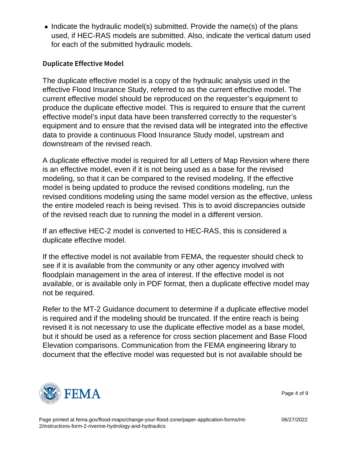Indicate the hydraulic model(s) submitted. Provide the name(s) of the plans used, if HEC-RAS models are submitted. Also, indicate the vertical datum used for each of the submitted hydraulic models.

#### Duplicate Effective Model

The duplicate effective model is a copy of the hydraulic analysis used in the effective Flood Insurance Study, referred to as the current effective model. The current effective model should be reproduced on the requester's equipment to produce the duplicate effective model. This is required to ensure that the current effective model's input data have been transferred correctly to the requester's equipment and to ensure that the revised data will be integrated into the effective data to provide a continuous Flood Insurance Study model, upstream and downstream of the revised reach.

A duplicate effective model is required for all Letters of Map Revision where there is an effective model, even if it is not being used as a base for the revised modeling, so that it can be compared to the revised modeling. If the effective model is being updated to produce the revised conditions modeling, run the revised conditions modeling using the same model version as the effective, unless the entire modeled reach is being revised. This is to avoid discrepancies outside of the revised reach due to running the model in a different version.

If an effective HEC-2 model is converted to HEC-RAS, this is considered a duplicate effective model.

If the effective model is not available from FEMA, the requester should check to see if it is available from the community or any other agency involved with floodplain management in the area of interest. If the effective model is not available, or is available only in PDF format, then a duplicate effective model may not be required.

Refer to the MT-2 Guidance document to determine if a duplicate effective model is required and if the modeling should be truncated. If the entire reach is being revised it is not necessary to use the duplicate effective model as a base model, but it should be used as a reference for cross section placement and Base Flood Elevation comparisons. Communication from the FEMA engineering library to document that the effective model was requested but is not available should be



Page 4 of 9

Page printed at [fema.gov/flood-maps/change-your-flood-zone/paper-application-forms/mt-](https://www.fema.gov/flood-maps/change-your-flood-zone/paper-application-forms/mt-2/instructions-form-2-riverine-hydrology-and-hydraulics)[2/instructions-form-2-riverine-hydrology-and-hydraulics](https://www.fema.gov/flood-maps/change-your-flood-zone/paper-application-forms/mt-2/instructions-form-2-riverine-hydrology-and-hydraulics)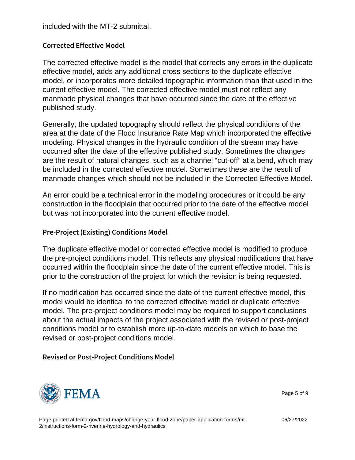included with the MT-2 submittal.

Corrected Effective Model

The corrected effective model is the model that corrects any errors in the duplicate effective model, adds any additional cross sections to the duplicate effective model, or incorporates more detailed topographic information than that used in the current effective model. The corrected effective model must not reflect any manmade physical changes that have occurred since the date of the effective published study.

Generally, the updated topography should reflect the physical conditions of the area at the date of the Flood Insurance Rate Map which incorporated the effective modeling. Physical changes in the hydraulic condition of the stream may have occurred after the date of the effective published study. Sometimes the changes are the result of natural changes, such as a channel "cut-off" at a bend, which may be included in the corrected effective model. Sometimes these are the result of manmade changes which should not be included in the Corrected Effective Model.

An error could be a technical error in the modeling procedures or it could be any construction in the floodplain that occurred prior to the date of the effective model but was not incorporated into the current effective model.

### Pre-Project (Existing) Conditions Model

The duplicate effective model or corrected effective model is modified to produce the pre-project conditions model. This reflects any physical modifications that have occurred within the floodplain since the date of the current effective model. This is prior to the construction of the project for which the revision is being requested.

If no modification has occurred since the date of the current effective model, this model would be identical to the corrected effective model or duplicate effective model. The pre-project conditions model may be required to support conclusions about the actual impacts of the project associated with the revised or post-project conditions model or to establish more up-to-date models on which to base the revised or post-project conditions model.

Revised or Post-Project Conditions Model



Page 5 of 9

Page printed at [fema.gov/flood-maps/change-your-flood-zone/paper-application-forms/mt-](https://www.fema.gov/flood-maps/change-your-flood-zone/paper-application-forms/mt-2/instructions-form-2-riverine-hydrology-and-hydraulics)[2/instructions-form-2-riverine-hydrology-and-hydraulics](https://www.fema.gov/flood-maps/change-your-flood-zone/paper-application-forms/mt-2/instructions-form-2-riverine-hydrology-and-hydraulics)

06/27/2022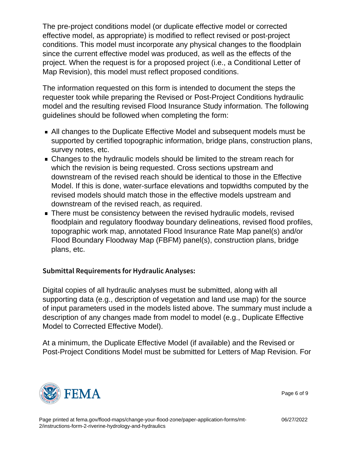The pre-project conditions model (or duplicate effective model or corrected effective model, as appropriate) is modified to reflect revised or post-project conditions. This model must incorporate any physical changes to the floodplain since the current effective model was produced, as well as the effects of the project. When the request is for a proposed project (i.e., a Conditional Letter of Map Revision), this model must reflect proposed conditions.

The information requested on this form is intended to document the steps the requester took while preparing the Revised or Post-Project Conditions hydraulic model and the resulting revised Flood Insurance Study information. The following guidelines should be followed when completing the form:

- All changes to the Duplicate Effective Model and subsequent models must be supported by certified topographic information, bridge plans, construction plans, survey notes, etc.
- **Changes to the hydraulic models should be limited to the stream reach for** which the revision is being requested. Cross sections upstream and downstream of the revised reach should be identical to those in the Effective Model. If this is done, water-surface elevations and topwidths computed by the revised models should match those in the effective models upstream and downstream of the revised reach, as required.
- **There must be consistency between the revised hydraulic models, revised** floodplain and regulatory floodway boundary delineations, revised flood profiles, topographic work map, annotated Flood Insurance Rate Map panel(s) and/or Flood Boundary Floodway Map (FBFM) panel(s), construction plans, bridge plans, etc.

### Submittal Requirements for Hydraulic Analyses:

Digital copies of all hydraulic analyses must be submitted, along with all supporting data (e.g., description of vegetation and land use map) for the source of input parameters used in the models listed above. The summary must include a description of any changes made from model to model (e.g., Duplicate Effective Model to Corrected Effective Model).

At a minimum, the Duplicate Effective Model (if available) and the Revised or Post-Project Conditions Model must be submitted for Letters of Map Revision. For



Page 6 of 9

Page printed at [fema.gov/flood-maps/change-your-flood-zone/paper-application-forms/mt-](https://www.fema.gov/flood-maps/change-your-flood-zone/paper-application-forms/mt-2/instructions-form-2-riverine-hydrology-and-hydraulics)[2/instructions-form-2-riverine-hydrology-and-hydraulics](https://www.fema.gov/flood-maps/change-your-flood-zone/paper-application-forms/mt-2/instructions-form-2-riverine-hydrology-and-hydraulics)

06/27/2022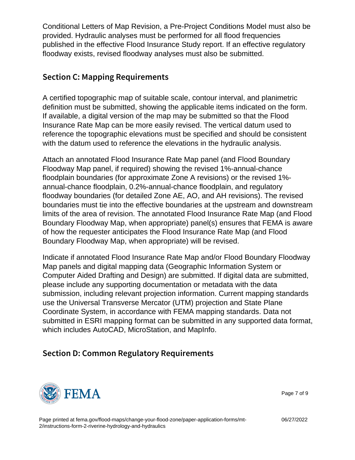Conditional Letters of Map Revision, a Pre-Project Conditions Model must also be provided. Hydraulic analyses must be performed for all flood frequencies published in the effective Flood Insurance Study report. If an effective regulatory floodway exists, revised floodway analyses must also be submitted.

## Section C: Mapping Requirements

A certified topographic map of suitable scale, contour interval, and planimetric definition must be submitted, showing the applicable items indicated on the form. If available, a digital version of the map may be submitted so that the Flood Insurance Rate Map can be more easily revised. The vertical datum used to reference the topographic elevations must be specified and should be consistent with the datum used to reference the elevations in the hydraulic analysis.

Attach an annotated Flood Insurance Rate Map panel (and Flood Boundary Floodway Map panel, if required) showing the revised 1%-annual-chance floodplain boundaries (for approximate Zone A revisions) or the revised 1% annual-chance floodplain, 0.2%-annual-chance floodplain, and regulatory floodway boundaries (for detailed Zone AE, AO, and AH revisions). The revised boundaries must tie into the effective boundaries at the upstream and downstream limits of the area of revision. The annotated Flood Insurance Rate Map (and Flood Boundary Floodway Map, when appropriate) panel(s) ensures that FEMA is aware of how the requester anticipates the Flood Insurance Rate Map (and Flood Boundary Floodway Map, when appropriate) will be revised.

Indicate if annotated Flood Insurance Rate Map and/or Flood Boundary Floodway Map panels and digital mapping data (Geographic Information System or Computer Aided Drafting and Design) are submitted. If digital data are submitted, please include any supporting documentation or metadata with the data submission, including relevant projection information. Current mapping standards use the Universal Transverse Mercator (UTM) projection and State Plane Coordinate System, in accordance with FEMA mapping standards. Data not submitted in ESRI mapping format can be submitted in any supported data format, which includes AutoCAD, MicroStation, and MapInfo.

Section D: Common Regulatory Requirements



Page 7 of 9

Page printed at [fema.gov/flood-maps/change-your-flood-zone/paper-application-forms/mt-](https://www.fema.gov/flood-maps/change-your-flood-zone/paper-application-forms/mt-2/instructions-form-2-riverine-hydrology-and-hydraulics)[2/instructions-form-2-riverine-hydrology-and-hydraulics](https://www.fema.gov/flood-maps/change-your-flood-zone/paper-application-forms/mt-2/instructions-form-2-riverine-hydrology-and-hydraulics)

06/27/2022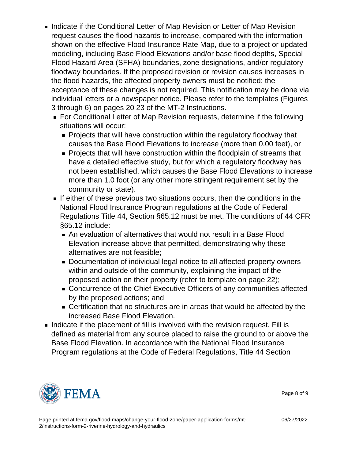- **Indicate if the Conditional Letter of Map Revision or Letter of Map Revision** request causes the flood hazards to increase, compared with the information shown on the effective Flood Insurance Rate Map, due to a project or updated modeling, including Base Flood Elevations and/or base flood depths, Special Flood Hazard Area (SFHA) boundaries, zone designations, and/or regulatory floodway boundaries. If the proposed revision or revision causes increases in the flood hazards, the affected property owners must be notified; the acceptance of these changes is not required. This notification may be done via individual letters or a newspaper notice. Please refer to the templates (Figures 3 through 6) on pages 20 23 of the MT-2 Instructions.
	- For Conditional Letter of Map Revision requests, determine if the following situations will occur:
		- **Projects that will have construction within the regulatory floodway that** causes the Base Flood Elevations to increase (more than 0.00 feet), or
		- **Projects that will have construction within the floodplain of streams that** have a detailed effective study, but for which a regulatory floodway has not been established, which causes the Base Flood Elevations to increase more than 1.0 foot (or any other more stringent requirement set by the community or state).
	- If either of these previous two situations occurs, then the conditions in the National Flood Insurance Program regulations at the Code of Federal Regulations Title 44, Section §65.12 must be met. The conditions of 44 CFR §65.12 include:
		- An evaluation of alternatives that would not result in a Base Flood Elevation increase above that permitted, demonstrating why these alternatives are not feasible;
		- **Documentation of individual legal notice to all affected property owners** within and outside of the community, explaining the impact of the proposed action on their property (refer to template on page 22);
		- Concurrence of the Chief Executive Officers of any communities affected by the proposed actions; and
		- Certification that no structures are in areas that would be affected by the increased Base Flood Elevation.
- Indicate if the placement of fill is involved with the revision request. Fill is defined as material from any source placed to raise the ground to or above the Base Flood Elevation. In accordance with the National Flood Insurance Program regulations at the Code of Federal Regulations, Title 44 Section



Page 8 of 9